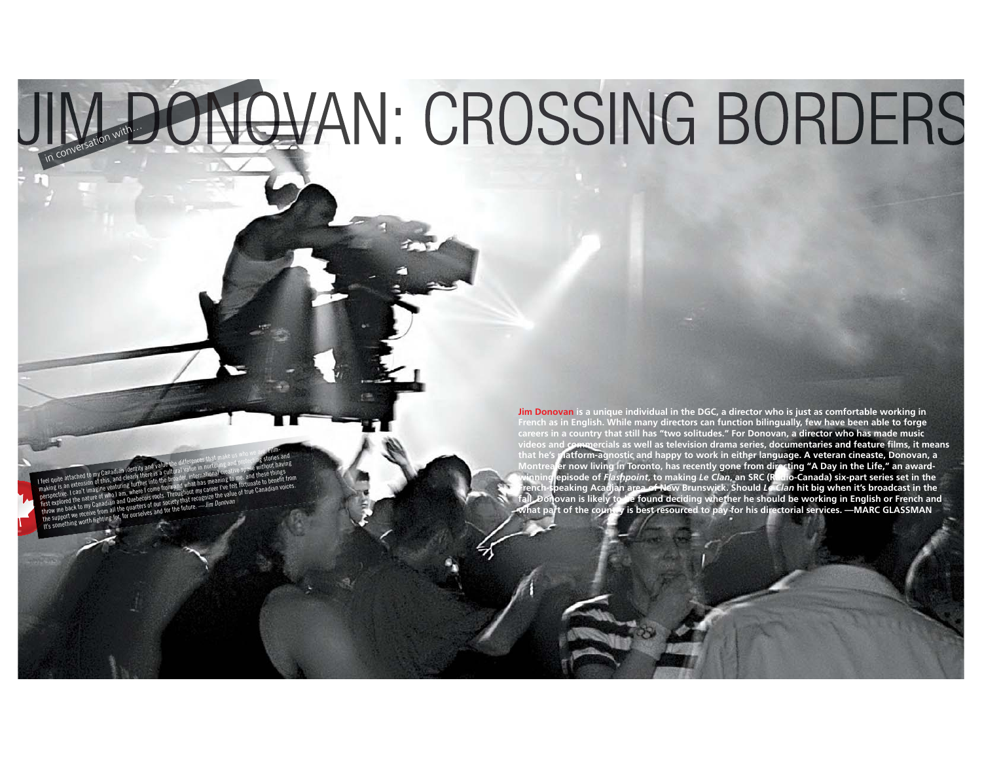# JIM DONOVAN: CROSSING BORDERS

24 MONTAGE *spring 2015 spring 2015* MONTAGE 25

ITHT:<br>I film at the my Canadian identity and slug the difference in the my Canadian incredible to my Canadian identi<br>In the difference of the differences that my Canadian is who were are. Film-<br>Simal of state us who was wh making is an extension of this and clearly the differences in a track of this and clear and protection of this and clearly there is a cultural value in the strip there is a cultural value in the strip stories and protectio feel quite attached to my Canadian identity and value the different nurther and the space without having<br>feel quite attached to my Canadian identity further into the broader, international creative space things<br>paking is a feel quite attached to my Canadian and Questers the a traditional vestillings in the standard tradition of the<br>tradition is an extension of things turned turned that has meaning to me, and these therefit<br>parspective . I ca the latter throw me back to my Canadian and Cuebecois roots. The process respective is can extension of this, and detailed throw metallies in the mand what has meaning the test fortunate to benefit from energies the same o taking is an exustable the support we receive from a guide of our society the fit torum and the property of the value of true Canadian voices.<br>erspective from a line of the value of our society that recognize the value of rst explored the match and and webcomes<br>hrow me back to my Canadian and webcomes of our society that research from the future.<br>the support we receive from all the quarters of our society that the future.<br>It's something wor

**Jim Donovan is a unique individual in the DGC, a director who is just as comfortable working in French as in English. While many directors can function bilingually, few have been able to forge careers in a country that still has "two solitudes." For Donovan, a director who has made music d commercials as well as television drama series, documentaries and feature films, it means and feature films, it means that he's platform-agnostic and happy to work in either language. A veteran cineaste, Donovan, a Montrealer now living in Toronto, has recently gone from directing "A Day in the Life," an awardwinning episode of** *Flashpoint***, to making** *Le Clan***, an SRC (Radio-Canada) six-part series set in the French-speaking Acadian area of New Brunswick. Should** *Le Clan* **hit big when it's broadcast in the fall, Donovan is likely to be found deciding whether he should be working in English or French and what part of the country is best resourced to pay for his directorial services. —MARC GLASSMAN**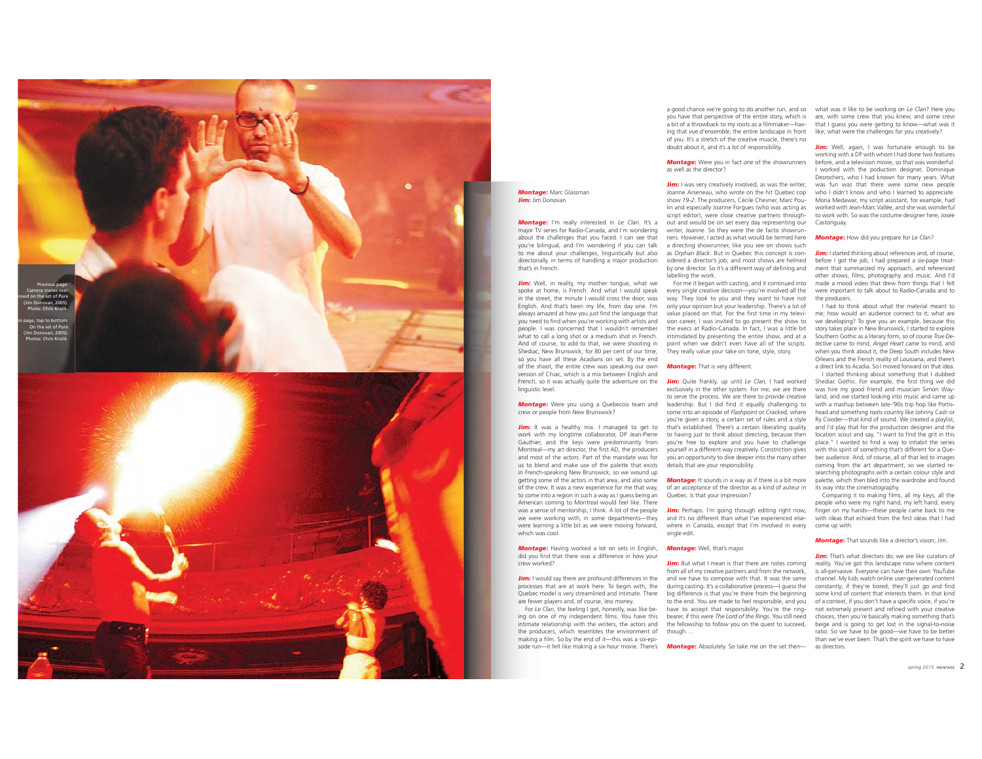

# *Montage* : Marc Glassman Jim: Jim Donovan

*Montage* : I'm really interested in *Le Clan*. It's a major TV series for Radio-Canada, and I'm wondering about the challenges that you faced. I can see that you're bilingual, and I'm wondering if you can talk to me about your challenges, linguistically but also directorially, in terms of handling a major production that's in French.

Jim: Well, in reality, my mother tongue, what we spoke at home, is French. And what I would speak in the street, the minute I would cross the door, was English. And that's been my life, from day one. I'm always amazed at how you just find the language that you need to find when you're working with artists and people. I was concerned that I wouldn't remember what to call a long shot or a medium shot in French. And of course, to add to that, we were shooting in Shediac, New Brunswick, for 80 per cent of our time, so you have all these Acadians on set. By the end of the shoot, the entire crew was speaking our own version of Chiac, which is a mix between English and French, so it was actually quite the adventure on the linguistic level.

*Montage* : Were you using a Quebecois team and crew or people from New Brunswick?

Jim: It was a healthy mix. I managed to get to work with my longtime collaborator, DP Jean-Pierre Gauthier, and the keys were predominantly from Montreal—my art director, the first AD, the producers and most of the actors. Part of the mandate was for us to blend and make use of the palette that exists in French-speaking New Brunswick, so we wound up getting some of the actors in that area, and also some of the crew. It was a new experience for me that way, to come into a region in such a way as I guess being an American coming to Montreal would feel like. There was a sense of mentorship, I think. A lot of the people we were working with, in some departments—they were learning a little bit as we were moving forward, which was cool.

*Montage* : Having worked a lot on sets in English, did you find that there was a difference in how your crew worked?

Jim: I would say there are profound differences in the processes that are at work here. To begin with, the Quebec model is very streamlined and intimate. There are fewer players and, of course, less money.

For Le Clan, the feeling I got, honestly, was like being on one of my independent films. You have this intimate relationship with the writers, the actors and the producers, which resembles the environment of making a film. So by the end of it—this was a six-epi-

sode run—it felt like making a six-hour movie. There's

you have that perspective of the entire story, which is are, with some crew that you knew, and some crew a bit of a throwback to my roots as a filmmaker—having that *vue d'ensemble*, the entire landscape in front of you. It's a stretch of the creative muscle, there's no doubt about it, and it's a lot of responsibility.

# *Montage* : Were you in fact one of the showrunners as well as the director?

Jim: I was very creatively involved, as was the writer, Joanne Arseneau, who wrote on the hit Quebec cop show *19-2*. The producers, Cécile Chevrier, Marc Poulin and especially Joanne Forgues (who was acting as script editor), were close creative partners throughout and would be on set every day representing our writer, Joanne. So they were the de facto showrunners. However, I acted as what would be termed here a directing showrunner, like you see on shows such as *Orphan Black*. But in Quebec this concept is considered a director's job, and most shows are helmed by one director. So it's a different way of defining and labelling the work.

For me it began with casting, and it continued into every single creative decision—you're involved all the way. They look to you and they want to have not only your opinion but your leadership. There's a lot of value placed on that. For the first time in my television career, I was invited to go present the show to the execs at Radio-Canada. In fact, I was a little bit intimidated by presenting the entire show, and at a point when we didn't even have all of the scripts. They really value your take on tone, style, story.

# *Montage* : That is very different.

Jim: Quite frankly, up until *Le Clan,* I had worked exclusively in the other system. For me, we are there to serve the process. We are there to provide creative leadership. But I did find it equally challenging to come into an episode of *Flashpoint* or *Cracked,* where you're given a story, a certain set of rules and a style that's established. There's a certain liberating quality to having just to think about directing, because then you're free to explore and you have to challenge yourself in a different way creatively. Constriction gives you an opportunity to dive deeper into the many other details that are your responsibility.

*Montage* : It sounds in a way as if there is a bit more of an acceptance of the director as a kind of auteur in Quebec. Is that your impression?

Jim: Perhaps. I'm going through editing right now, and it's no different than what I've experienced elsewhere in Canada, except that I'm involved in every single edit.

## *Montage* : Well, that's major.

Jim: But what I mean is that there are notes coming from all of my creative partners and from the network, and we have to compose with that. It was the same during casting. It's a collaborative process—I guess the big difference is that you're there from the beginning to the end. You are made to feel responsible, and you have to accept that responsibility. You're the ringbearer, if this were *The Lord of the Rings*. You still need the fellowship to follow you on the quest to succeed, though….

*Montage* : Absolutely. So take me on the set then— as directors.

a good chance we're going to do another run, and so what was it like to be working on *Le Clan*? Here you that I guess you were getting to know—what was it like: what were the challenges for you creatively?

> Jim: Well, again, I was fortunate enough to be working with a DP with whom I had done two features before, and a television movie, so that was wonderful. I worked with the poduction designer, Dominique Desrochers, who I had known for many years. What was fun was that there were some new people who I didn't know and who I learned to appreciate. Mona Medawar, my script assistant, for example, had worked with Jean-Marc Vallée, and she was wonderful to work with. So was the costume designer here, Josée Castonguay.

### *Montage* : How did you prepare for *Le Clan* ?

Jim: I started thinking about references and, of course, before I got the job, I had prepared a six-page treatment that summarized my approach, and referenced other shows, films, photography and music. And I'd made a mood video that drew from things that I felt were important to talk about to Radio-Canada and to the producers.

I had to think about what the material meant to me; how would an audience connect to it; what are we developing? To give you an example, because this story takes place in New Brunswick, I started to explore Southern Gothic as a literary form, so of course *True Detective* came to mind, *Angel Heart* came to mind, and when you think about it, the Deep South includes New Orleans and the French reality of Louisiana, and there's a direct link to Acadia. So I moved forward on that idea.

I started thinking about something that I dubbed Shediac Gothic. For example, the first thing we did was hire my good friend and musician Simon Wayland, and we started looking into music and came up with a mashup between late-'90s trip hop like Portishead and something roots country like Johnny Cash or Ry Cooder—that kind of sound. We created a playlist, and I'd play that for the production designer and the location scout and say, "I want to find the grit in this place." I wanted to find a way to inhabit the series with this spirit of something that's different for a Quebec audience. And, of course, all of that led to images coming from the art department, so we started researching photographs with a certain colour style and palette, which then bled into the wardrobe and found its way into the cinematography.

Comparing it to making films, all my keys, all the people who were my right hand, my left hand, every finger on my hands—these people came back to me with ideas that echoed from the first ideas that I had come up with.

# *Montage* : That sounds like a director's vision, Jim.

Jim: That's what directors do; we are like curators of reality. You've got this landscape now where content is all-pervasive. Everyone can have their own YouTube channel. My kids watch online user-generated content constantly; if they're bored, they'll just go and find some kind of content that interests them. In that kind of a context, if you don't have a specific voice, if you're not extremely present and refined with your creative choices, then you're basically making something that's beige and is going to get lost in the signal-to-noise ratio. So we have to be good—we have to be better than we've ever been. That's the spirit we have to have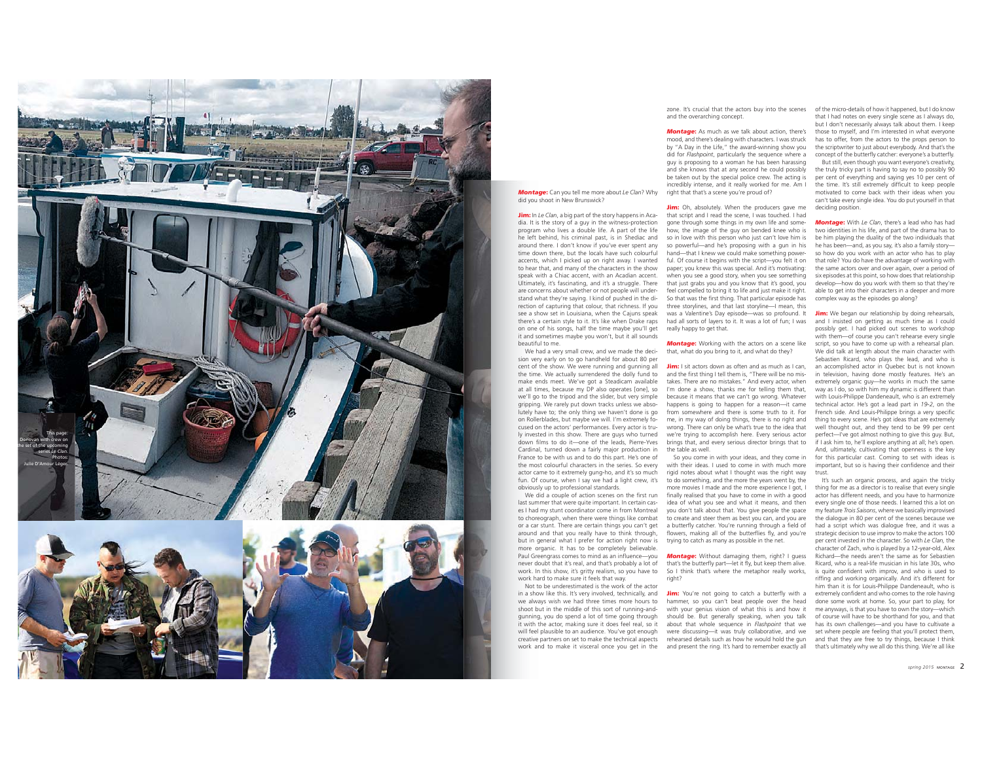

*Montage* : Can you tell me more about *Le Clan*? Why did you shoot in New Brunswick?

Jim: In *Le Clan*, a big part of the story happens in Acadia. It is the story of a guy in the witness-protection program who lives a double life. A part of the life he left behind, his criminal past, is in Shediac and around there. I don't know if you've ever spent any time down there, but the locals have such colourful accents, which I picked up on right away. I wanted to hear that, and many of the characters in the show speak with a Chiac accent, with an Acadian accent. Ultimately, it's fascinating, and it's a struggle. There are concerns about whether or not people will understand what they're saying. I kind of pushed in the direction of capturing that colour, that richness. If you see a show set in Louisiana, when the Cajuns speak there's a certain style to it. It's like when Drake raps on one of his songs, half the time maybe you'll get it and sometimes maybe you won't, but it all sounds beautiful to me.

We had a very small crew, and we made the decision very early on to go handheld for about 80 per cent of the show. We were running and gunning all the time. We actually surrendered the dolly fund to make ends meet. We've got a Steadicam available at all times, because my DP also operates [one], so we'll go to the tripod and the slider, but very simple gripping. We rarely put down tracks unless we absolutely have to; the only thing we haven't done is go on Rollerblades, but maybe we will. I'm extremely focused on the actors' performances. Every actor is truly invested in this show. There are guys who turned down films to do it—one of the leads, Pierre-Yves Cardinal, turned down a fairly major production in France to be with us and to do this part. He's one of the most colourful characters in the series. So every actor came to it extremely gung-ho, and it's so much fun. Of course, when I say we had a light crew, it's obviously up to professional standards.

We did a couple of action scenes on the first run last summer that were quite important. In certain cases I had my stunt coordinator come in from Montreal to choreograph, when there were things like combat or a car stunt. There are certain things you can't get around and that you really have to think through, but in general what I prefer for action right now is more organic. It has to be completely believable. Paul Greengrass comes to mind as an influence—you never doubt that it's real, and that's probably a lot of work. In this show, it's gritty realism, so you have to work hard to make sure it feels that way. Not to be underestimated is the work of the actor

in a show like this. It's very involved, technically, and we always wish we had three times more hours to shoot but in the middle of this sort of running-andgunning, you do spend a lot of time going through it with the actor, making sure it does feel real, so it will feel plausible to an audience. You've got enough creative partners on set to make the technical aspects work and to make it visceral once you get in the

zone. It's crucial that the actors buy into the scenes of the micro-details of how it happened, but I do know and the overarching concept.

*Montage* : As much as we talk about action, there's mood, and there's dealing with characters. I was struck by "A Day in the Life," the award-winning show you did for *Flashpoint*, particularly the sequence where a guy is proposing to a woman he has been harassing and she knows that at any second he could possibly be taken out by the special police crew. The acting is incredibly intense, and it really worked for me. Am I right that that's a scene you're proud of?

Jim: Oh, absolutely. When the producers gave me that script and I read the scene, I was touched. I had gone through some things in my own life and somehow, the image of the guy on bended knee who is so in love with this person who just can't love him is so powerful—and he's proposing with a gun in his hand—that I knew we could make something powerful. Of course it begins with the script—you felt it on paper; you knew this was special. And it's motivating: when you see a good story, when you see something that just grabs you and you know that it's good, you feel compelled to bring it to life and just make it right. So that was the first thing. That particular episode has three storylines, and that last storyline—I mean, this was a Valentine's Day episode—was so profound. It had all sorts of layers to it. It was a lot of fun; I was really happy to get that.

*Montage* : Working with the actors on a scene like that, what do you bring to it, and what do they?

Jim: I sit actors down as often and as much as I can, and the first thing I tell them is, "There will be no mistakes. There are no mistakes." And every actor, when I'm done a show, thanks me for telling them that, because it means that we can't go wrong. Whatever happens is going to happen for a reason—it came from somewhere and there is some truth to it. For me, in my way of doing things, there is no right and wrong. There can only be what's true to the idea that we're trying to accomplish here. Every serious actor brings that, and every serious director brings that to the table as well.

 So you come in with your ideas, and they come in with their ideas. I used to come in with much more rigid notes about what I thought was the right way to do something, and the more the years went by, the more movies I made and the more experience I got, I finally realised that you have to come in with a good idea of what you see and what it means, and then you don't talk about that. You give people the space to create and steer them as best you can, and you are a butterfly catcher. You're running through a field of flowers, making all of the butterflies fly, and you're trying to catch as many as possible in the net.

*Montage* : Without damaging them, right? I guess that's the butterfly part—let it fly, but keep them alive. So I think that's where the metaphor really works, right?

Jim: You're not going to catch a butterfly with a hammer, so you can't beat people over the head done some work at home. So, your part to play, for with your genius vision of what this is and how it should be. But generally speaking, when you talk about that whole sequence in *Flashpoint* that we were discussing—it was truly collaborative, and we set where people are feeling that you'll protect them, rehearsed details such as how he would hold the gun and that they are free to try things, because I think and present the ring. It's hard to remember exactly all that's ultimately why we all do this thing. We're all like

that I had notes on every single scene as I always do, but I don't necessarily always talk about them. I keep those to myself, and I'm interested in what everyone has to offer, from the actors to the props person to the scriptwriter to just about everybody. And that's the concept of the butterfly catcher: everyone's a butterfly. But still, even though you want everyone's creativity, the truly tricky part is having to say no to possibly 90 per cent of everything and saying yes 10 per cent of the time. It's still extremely difficult to keep people motivated to come back with their ideas when you can't take every single idea. You do put yourself in that deciding position.

*Montage* : With *Le Clan*, there's a lead who has had two identities in his life, and part of the drama has to be him playing the duality of the two individuals that he has been—and, as you say, it's also a family story so how do you work with an actor who has to play that role? You do have the advantage of working with the same actors over and over again, over a period of six episodes at this point, so how does that relationship develop—how do you work with them so that they're able to get into their characters in a deeper and more complex way as the episodes go along?

Jim: We began our relationship by doing rehearsals, and I insisted on getting as much time as I could possibly get. I had picked out scenes to workshop with them—of course you can't rehearse every single script, so you have to come up with a rehearsal plan. We did talk at length about the main character with Sebastien Ricard, who plays the lead, and who is an accomplished actor in Quebec but is not known in television, having done mostly features. He's an extremely organic guy—he works in much the same way as I do, so with him my dynamic is different than with Louis-Philippe Dandeneault, who is an extremely technical actor. He's got a lead part in *19-2*, on the French side. And Louis-Philippe brings a very specific thing to every scene. He's got ideas that are extremely well thought out, and they tend to be 99 per cent perfect—I've got almost nothing to give this guy. But, if I ask him to, he'll explore anything at all; he's open. And, ultimately, cultivating that openness is the key for this particular cast. Coming to set with ideas is important, but so is having their confidence and their

trust. It's such an organic process, and again the tricky thing for me as a director is to realise that every single actor has different needs, and you have to harmonize every single one of those needs. I learned this a lot on my feature *Trois Saisons*, where we basically improvised the dialogue in 80 per cent of the scenes because we had a script which was dialogue free, and it was a strategic decision to use improv to make the actors 100 per cent invested in the character. So with *Le Clan,* the character of Zach, who is played by a 12-year-old, Alex Richard—the needs aren't the same as for Sebastien Ricard, who is a real-life musician in his late 30s, who is quite confident with improv, and who is used to riffing and working organically. And it's different for him than it is for Louis-Philippe Dandeneault, who is extremely confident and who comes to the role having me anyways, is that you have to own the story—which of course will have to be shorthand for you, and that has its own challenges—and you have to cultivate a